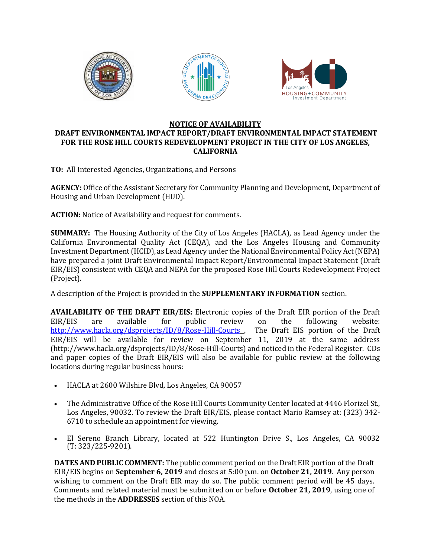

## **NOTICE OF AVAILABILITY**

## **DRAFT ENVIRONMENTAL IMPACT REPORT/DRAFT ENVIRONMENTAL IMPACT STATEMENT FOR THE ROSE HILL COURTS REDEVELOPMENT PROJECT IN THE CITY OF LOS ANGELES, CALIFORNIA**

**TO:** All Interested Agencies, Organizations, and Persons

**AGENCY:** Office of the Assistant Secretary for Community Planning and Development, Department of Housing and Urban Development (HUD).

**ACTION:** Notice of Availability and request for comments.

**SUMMARY:** The Housing Authority of the City of Los Angeles (HACLA), as Lead Agency under the California Environmental Quality Act (CEQA), and the Los Angeles Housing and Community Investment Department (HCID), as Lead Agency under the National Environmental Policy Act (NEPA) have prepared a joint Draft Environmental Impact Report/Environmental Impact Statement (Draft EIR/EIS) consistent with CEQA and NEPA for the proposed Rose Hill Courts Redevelopment Project (Project).

A description of the Project is provided in the **SUPPLEMENTARY INFORMATION** section.

**AVAILABILITY OF THE DRAFT EIR/EIS:** Electronic copies of the Draft EIR portion of the Draft EIR/EIS are available for public review on the following website: <http://www.hacla.org/dsprojects/ID/8/Rose-Hill-Courts> . The Draft EIS portion of the Draft EIR/EIS will be available for review on September 11, 2019 at the same address (http://www.hacla.org/dsprojects/ID/8/Rose-Hill-Courts) and noticed in the Federal Register. CDs and paper copies of the Draft EIR/EIS will also be available for public review at the following locations during regular business hours:

- HACLA at 2600 Wilshire Blvd, Los Angeles, CA 90057
- The Administrative Office of the Rose Hill Courts Community Center located at 4446 Florizel St., Los Angeles, 90032. To review the Draft EIR/EIS, please contact Mario Ramsey at: (323) 342- 6710 to schedule an appointment for viewing.
- El Sereno Branch Library, located at 522 Huntington Drive S., Los Angeles, CA 90032 (T: 323/225-9201).

**DATES AND PUBLIC COMMENT:** The public comment period on the Draft EIR portion of the Draft EIR/EIS begins on **September 6, 2019** and closes at 5:00 p.m. on **October 21, 2019**. Any person wishing to comment on the Draft EIR may do so. The public comment period will be 45 days. Comments and related material must be submitted on or before **October 21, 2019**, using one of the methods in the **ADDRESSES** section of this NOA.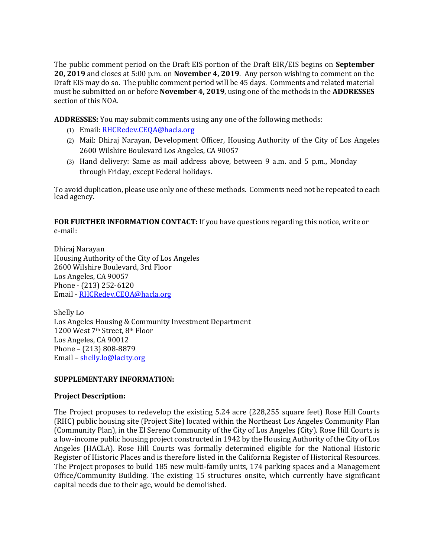The public comment period on the Draft EIS portion of the Draft EIR/EIS begins on **September 20, 2019** and closes at 5:00 p.m. on **November 4, 2019**. Any person wishing to comment on the Draft EIS may do so. The public comment period will be 45 days. Comments and related material must be submitted on or before **November 4, 2019**, using one of the methods in the **ADDRESSES** section of this NOA.

**ADDRESSES:** You may submit comments using any one of the following methods:

- (1) Email: [RHCRedev.CEQA@hacla.org](mailto:RHCRedev.CEQA@hacla.org)
- (2) Mail: Dhiraj Narayan, Development Officer, Housing Authority of the City of Los Angeles 2600 Wilshire Boulevard Los Angeles, CA 90057
- (3) Hand delivery: Same as mail address above, between 9 a.m. and 5 p.m., Monday through Friday, except Federal holidays.

To avoid duplication, please use only one of these methods. Comments need not be repeated to each lead agency.

**FOR FURTHER INFORMATION CONTACT:** If you have questions regarding this notice, write or e-mail:

Dhiraj Narayan Housing Authority of the City of Los Angeles 2600 Wilshire Boulevard, 3rd Floor Los Angeles, CA 90057 Phone - (213) 252-6120 Email - [RHCRedev.CEQA@hacla.org](mailto:RHCRedev.CEQA@hacla.org)

Shelly Lo Los Angeles Housing & Community Investment Department 1200 West 7th Street, 8th Floor Los Angeles, CA 90012 Phone – (213) 808-8879 Email – [shelly.lo@lacity.org](mailto:shelly.lo@lacity.org)

## **SUPPLEMENTARY INFORMATION:**

## **Project Description:**

The Project proposes to redevelop the existing 5.24 acre (228,255 square feet) Rose Hill Courts (RHC) public housing site (Project Site) located within the Northeast Los Angeles Community Plan (Community Plan), in the El Sereno Community of the City of Los Angeles (City). Rose Hill Courts is a low-income public housing project constructed in 1942 by the Housing Authority of the City of Los Angeles (HACLA). Rose Hill Courts was formally determined eligible for the National Historic Register of Historic Places and is therefore listed in the California Register of Historical Resources. The Project proposes to build 185 new multi-family units, 174 parking spaces and a Management Office/Community Building. The existing 15 structures onsite, which currently have significant capital needs due to their age, would be demolished.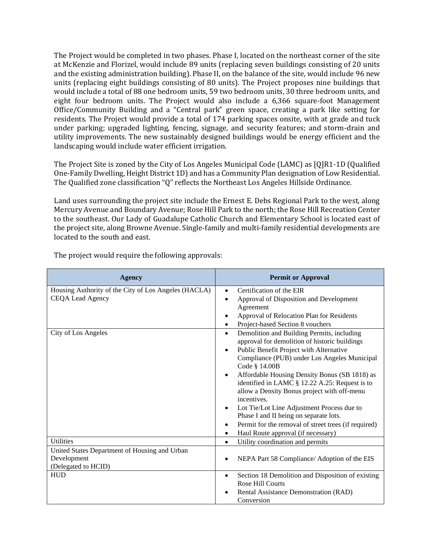The Project would be completed in two phases. Phase I, located on the northeast corner of the site at McKenzie and Florizel, would include 89 units (replacing seven buildings consisting of 20 units and the existing administration building). Phase II, on the balance of the site, would include 96 new units (replacing eight buildings consisting of 80 units). The Project proposes nine buildings that would include a total of 88 one bedroom units, 59 two bedroom units, 30 three bedroom units, and eight four bedroom units. The Project would also include a 6,366 square-foot Management Office/Community Building and a "Central park" green space, creating a park like setting for residents. The Project would provide a total of 174 parking spaces onsite, with at grade and tuck under parking; upgraded lighting, fencing, signage, and security features; and storm-drain and utility improvements. The new sustainably designed buildings would be energy efficient and the landscaping would include water efficient irrigation.

The Project Site is zoned by the City of Los Angeles Municipal Code (LAMC) as [Q]R1-1D (Qualified One-Family Dwelling, Height District 1D) and has a Community Plan designation of Low Residential. The Qualified zone classification "Q" reflects the Northeast Los Angeles Hillside Ordinance.

Land uses surrounding the project site include the Ernest E. Debs Regional Park to the west, along Mercury Avenue and Boundary Avenue; Rose Hill Park to the north; the Rose Hill Recreation Center to the southeast. Our Lady of Guadalupe Catholic Church and Elementary School is located east of the project site, along Browne Avenue. Single-family and multi-family residential developments are located to the south and east.

| <b>Agency</b>                                        | <b>Permit or Approval</b>                                                                |
|------------------------------------------------------|------------------------------------------------------------------------------------------|
| Housing Authority of the City of Los Angeles (HACLA) | Certification of the EIR                                                                 |
| CEQA Lead Agency                                     | Approval of Disposition and Development<br>Agreement                                     |
|                                                      | Approval of Relocation Plan for Residents                                                |
|                                                      | Project-based Section 8 vouchers                                                         |
| City of Los Angeles                                  | Demolition and Building Permits, including<br>$\bullet$                                  |
|                                                      | approval for demolition of historic buildings<br>Public Benefit Project with Alternative |
|                                                      | Compliance (PUB) under Los Angeles Municipal                                             |
|                                                      | Code § 14.00B                                                                            |
|                                                      | Affordable Housing Density Bonus (SB 1818) as<br>$\bullet$                               |
|                                                      | identified in LAMC § 12.22 A.25: Request is to                                           |
|                                                      | allow a Density Bonus project with off-menu                                              |
|                                                      | incentives.                                                                              |
|                                                      | Lot Tie/Lot Line Adjustment Process due to<br>Phase I and II being on separate lots.     |
|                                                      | Permit for the removal of street trees (if required)                                     |
|                                                      | Haul Route approval (if necessary)                                                       |
| <b>Utilities</b>                                     | Utility coordination and permits<br>$\bullet$                                            |
| United States Department of Housing and Urban        |                                                                                          |
| Development                                          | NEPA Part 58 Compliance/ Adoption of the EIS                                             |
| (Delegated to HCID)                                  |                                                                                          |
| <b>HUD</b>                                           | Section 18 Demolition and Disposition of existing<br>$\bullet$<br>Rose Hill Courts       |
|                                                      | Rental Assistance Demonstration (RAD)                                                    |
|                                                      | Conversion                                                                               |

The project would require the following approvals: